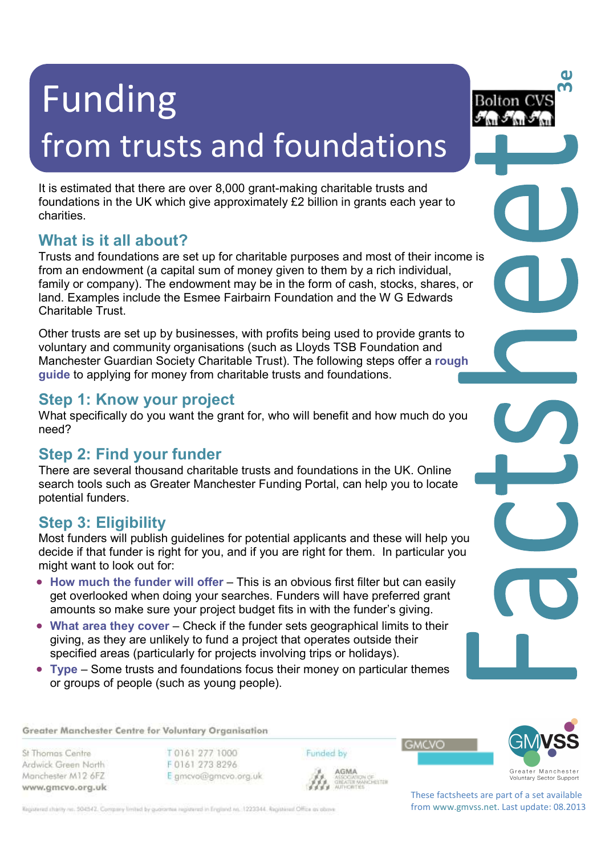# Funding from trusts and foundations

It is estimated that there are over 8,000 grant-making charitable trusts and foundations in the UK which give approximately £2 billion in grants each year to charities.

## **What is it all about?**

Trusts and foundations are set up for charitable purposes and most of their income is from an endowment (a capital sum of money given to them by a rich individual, family or company). The endowment may be in the form of cash, stocks, shares, or land. Examples include the Esmee Fairbairn Foundation and the W G Edwards Charitable Trust.

Other trusts are set up by businesses, with profits being used to provide grants to voluntary and community organisations (such as Lloyds TSB Foundation and Manchester Guardian Society Charitable Trust). The following steps offer a **rough guide** to applying for money from charitable trusts and foundations.

## **Step 1: Know your project**

What specifically do you want the grant for, who will benefit and how much do you need?

## **Step 2: Find your funder**

There are several thousand charitable trusts and foundations in the UK. Online search tools such as Greater Manchester Funding Portal, can help you to locate potential funders.

## **Step 3: Eligibility**

Most funders will publish guidelines for potential applicants and these will help you decide if that funder is right for you, and if you are right for them. In particular you might want to look out for:

- How much the funder will offer This is an obvious first filter but can easily get overlooked when doing your searches. Funders will have preferred grant amounts so make sure your project budget fits in with the funder's giving.
- What area they cover Check if the funder sets geographical limits to their giving, as they are unlikely to fund a project that operates outside their specified areas (particularly for projects involving trips or holidays).
- **Type**  Some trusts and foundations focus their money on particular themes or groups of people (such as young people).

Greater Manchester Centre for Voluntary Organisation

St Thomas Centre Ardwick Green North Manchester M12 6FZ www.gmcvo.org.uk T0161 277 1000 F0161 273 8296 E gmcvo@gmcvo.org.uk Funded by

AGMA **AGMA**<br>ASSOCIATION OF<br>GREATER MANCHESTER<br>AUTHORITIES



Greater Manchester<br>Voluntary Sector Support

**3e**

}olton C!

These factsheets are part of a set available from www.gmvss.net. Last update: 08.2013

**GMCVO** 

Registered charity no. 504542. Company limited by guarantee registered in England no. 1223344. Registered Office as obove